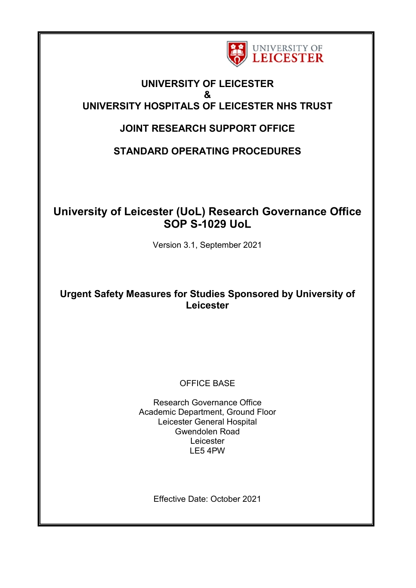

## **UNIVERSITY OF LEICESTER & UNIVERSITY HOSPITALS OF LEICESTER NHS TRUST**

## **JOINT RESEARCH SUPPORT OFFICE**

**STANDARD OPERATING PROCEDURES**

# **University of Leicester (UoL) Research Governance Office SOP S-1029 UoL**

Version 3.1, September 2021

## **Urgent Safety Measures for Studies Sponsored by University of Leicester**

### OFFICE BASE

Research Governance Office Academic Department, Ground Floor Leicester General Hospital Gwendolen Road Leicester LE5 4PW

Effective Date: October 2021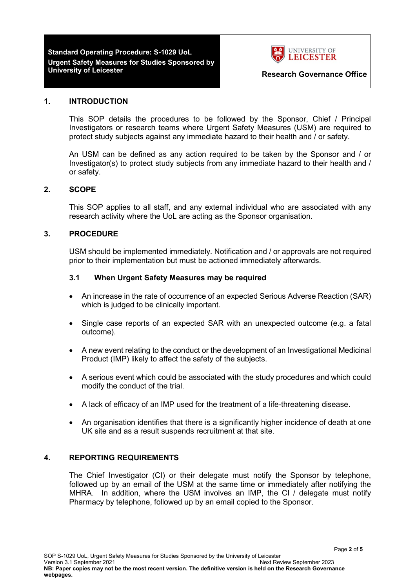# **Standard Operating Procedure: S-1029 UoL Urgent Safety Measures for Studies Sponsored by**



#### **1. INTRODUCTION**

This SOP details the procedures to be followed by the Sponsor, Chief / Principal Investigators or research teams where Urgent Safety Measures (USM) are required to protect study subjects against any immediate hazard to their health and / or safety.

An USM can be defined as any action required to be taken by the Sponsor and / or Investigator(s) to protect study subjects from any immediate hazard to their health and / or safety.

#### **2. SCOPE**

This SOP applies to all staff, and any external individual who are associated with any research activity where the UoL are acting as the Sponsor organisation.

#### **3. PROCEDURE**

USM should be implemented immediately. Notification and / or approvals are not required prior to their implementation but must be actioned immediately afterwards.

#### **3.1 When Urgent Safety Measures may be required**

- An increase in the rate of occurrence of an expected Serious Adverse Reaction (SAR) which is judged to be clinically important.
- Single case reports of an expected SAR with an unexpected outcome (e.g. a fatal outcome).
- A new event relating to the conduct or the development of an Investigational Medicinal Product (IMP) likely to affect the safety of the subjects.
- A serious event which could be associated with the study procedures and which could modify the conduct of the trial.
- A lack of efficacy of an IMP used for the treatment of a life-threatening disease.
- An organisation identifies that there is a significantly higher incidence of death at one UK site and as a result suspends recruitment at that site.

#### **4. REPORTING REQUIREMENTS**

The Chief Investigator (CI) or their delegate must notify the Sponsor by telephone, followed up by an email of the USM at the same time or immediately after notifying the MHRA. In addition, where the USM involves an IMP, the CI / delegate must notify Pharmacy by telephone, followed up by an email copied to the Sponsor.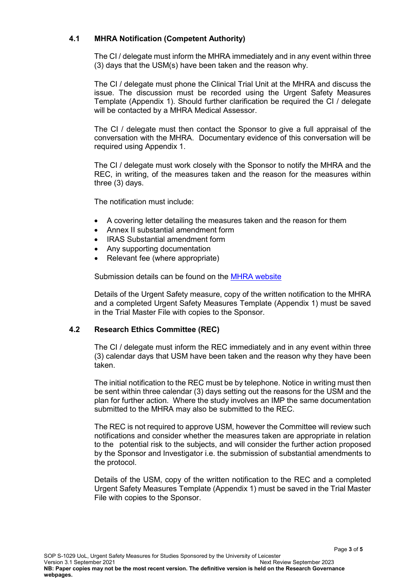#### **4.1 MHRA Notification (Competent Authority)**

The CI / delegate must inform the MHRA immediately and in any event within three (3) days that the USM(s) have been taken and the reason why.

The CI / delegate must phone the Clinical Trial Unit at the MHRA and discuss the issue. The discussion must be recorded using the Urgent Safety Measures Template (Appendix 1). Should further clarification be required the CI / delegate will be contacted by a MHRA Medical Assessor.

The CI / delegate must then contact the Sponsor to give a full appraisal of the conversation with the MHRA. Documentary evidence of this conversation will be required using Appendix 1.

The CI / delegate must work closely with the Sponsor to notify the MHRA and the REC, in writing, of the measures taken and the reason for the measures within three (3) days.

The notification must include:

- A covering letter detailing the measures taken and the reason for them
- Annex II substantial amendment form
- IRAS Substantial amendment form
- Any supporting documentation
- Relevant fee (where appropriate)

Submission details can be found on the **MHRA** website

Details of the Urgent Safety measure, copy of the written notification to the MHRA and a completed Urgent Safety Measures Template (Appendix 1) must be saved in the Trial Master File with copies to the Sponsor.

#### **4.2 Research Ethics Committee (REC)**

The CI / delegate must inform the REC immediately and in any event within three (3) calendar days that USM have been taken and the reason why they have been taken.

The initial notification to the REC must be by telephone. Notice in writing must then be sent within three calendar (3) days setting out the reasons for the USM and the plan for further action. Where the study involves an IMP the same documentation submitted to the MHRA may also be submitted to the REC.

The REC is not required to approve USM, however the Committee will review such notifications and consider whether the measures taken are appropriate in relation to the potential risk to the subjects, and will consider the further action proposed by the Sponsor and Investigator i.e. the submission of substantial amendments to the protocol.

Details of the USM, copy of the written notification to the REC and a completed Urgent Safety Measures Template (Appendix 1) must be saved in the Trial Master File with copies to the Sponsor.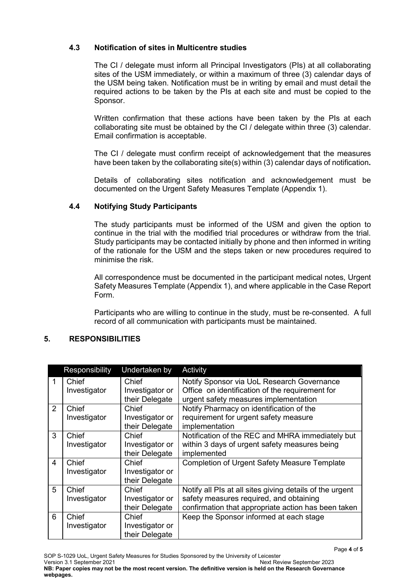### **4.3 Notification of sites in Multicentre studies**

The CI / delegate must inform all Principal Investigators (PIs) at all collaborating sites of the USM immediately, or within a maximum of three (3) calendar days of the USM being taken. Notification must be in writing by email and must detail the required actions to be taken by the PIs at each site and must be copied to the Sponsor.

Written confirmation that these actions have been taken by the PIs at each collaborating site must be obtained by the CI / delegate within three (3) calendar. Email confirmation is acceptable.

The CI / delegate must confirm receipt of acknowledgement that the measures have been taken by the collaborating site(s) within (3) calendar days of notification**.**

Details of collaborating sites notification and acknowledgement must be documented on the Urgent Safety Measures Template (Appendix 1).

#### **4.4 Notifying Study Participants**

The study participants must be informed of the USM and given the option to continue in the trial with the modified trial procedures or withdraw from the trial. Study participants may be contacted initially by phone and then informed in writing of the rationale for the USM and the steps taken or new procedures required to minimise the risk.

All correspondence must be documented in the participant medical notes, Urgent Safety Measures Template (Appendix 1), and where applicable in the Case Report Form.

Participants who are willing to continue in the study, must be re-consented. A full record of all communication with participants must be maintained.

#### **5. RESPONSIBILITIES**

|   | Responsibility        | Undertaken by                              | Activity                                                                                                                                                   |
|---|-----------------------|--------------------------------------------|------------------------------------------------------------------------------------------------------------------------------------------------------------|
|   | Chief<br>Investigator | Chief<br>Investigator or<br>their Delegate | Notify Sponsor via UoL Research Governance<br>Office on identification of the requirement for<br>urgent safety measures implementation                     |
| 2 | Chief<br>Investigator | Chief<br>Investigator or<br>their Delegate | Notify Pharmacy on identification of the<br>requirement for urgent safety measure<br>implementation                                                        |
| 3 | Chief<br>Investigator | Chief<br>Investigator or<br>their Delegate | Notification of the REC and MHRA immediately but<br>within 3 days of urgent safety measures being<br>implemented                                           |
| 4 | Chief<br>Investigator | Chief<br>Investigator or<br>their Delegate | <b>Completion of Urgent Safety Measure Template</b>                                                                                                        |
| 5 | Chief<br>Investigator | Chief<br>Investigator or<br>their Delegate | Notify all PIs at all sites giving details of the urgent<br>safety measures required, and obtaining<br>confirmation that appropriate action has been taken |
| 6 | Chief<br>Investigator | Chief<br>Investigator or<br>their Delegate | Keep the Sponsor informed at each stage                                                                                                                    |